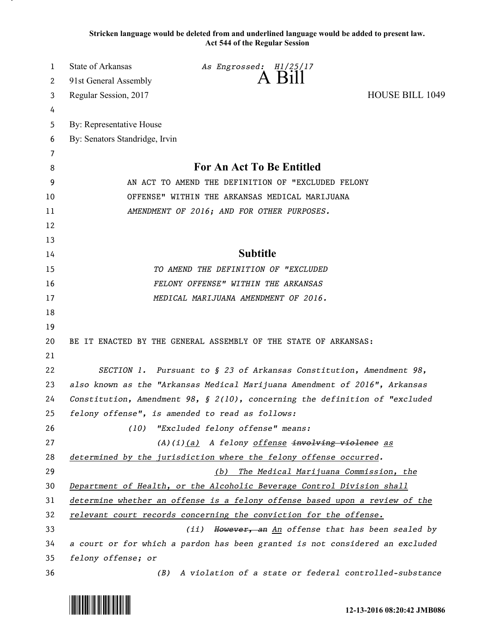**Stricken language would be deleted from and underlined language would be added to present law. Act 544 of the Regular Session**

| 1        | <b>State of Arkansas</b>                                                                                                          | As Engrossed: H1/25/17                                 |                        |  |
|----------|-----------------------------------------------------------------------------------------------------------------------------------|--------------------------------------------------------|------------------------|--|
| 2        | 91st General Assembly                                                                                                             |                                                        |                        |  |
| 3        | Regular Session, 2017                                                                                                             |                                                        | <b>HOUSE BILL 1049</b> |  |
| 4        |                                                                                                                                   |                                                        |                        |  |
| 5        | By: Representative House                                                                                                          |                                                        |                        |  |
| 6        | By: Senators Standridge, Irvin                                                                                                    |                                                        |                        |  |
| 7        |                                                                                                                                   |                                                        |                        |  |
| 8        | For An Act To Be Entitled                                                                                                         |                                                        |                        |  |
| 9        | AN ACT TO AMEND THE DEFINITION OF "EXCLUDED FELONY                                                                                |                                                        |                        |  |
| 10       | OFFENSE" WITHIN THE ARKANSAS MEDICAL MARIJUANA                                                                                    |                                                        |                        |  |
| 11       | AMENDMENT OF 2016; AND FOR OTHER PURPOSES.                                                                                        |                                                        |                        |  |
| 12       |                                                                                                                                   |                                                        |                        |  |
| 13       |                                                                                                                                   |                                                        |                        |  |
| 14       | <b>Subtitle</b>                                                                                                                   |                                                        |                        |  |
| 15       | TO AMEND THE DEFINITION OF "EXCLUDED                                                                                              |                                                        |                        |  |
| 16       | FELONY OFFENSE" WITHIN THE ARKANSAS                                                                                               |                                                        |                        |  |
| 17       |                                                                                                                                   | MEDICAL MARIJUANA AMENDMENT OF 2016.                   |                        |  |
| 18       |                                                                                                                                   |                                                        |                        |  |
| 19       |                                                                                                                                   |                                                        |                        |  |
| 20       | BE IT ENACTED BY THE GENERAL ASSEMBLY OF THE STATE OF ARKANSAS:                                                                   |                                                        |                        |  |
| 21       |                                                                                                                                   |                                                        |                        |  |
| 22       | SECTION 1. Pursuant to $\S$ 23 of Arkansas Constitution, Amendment 98,                                                            |                                                        |                        |  |
| 23       | also known as the "Arkansas Medical Marijuana Amendment of 2016", Arkansas                                                        |                                                        |                        |  |
| 24       | Constitution, Amendment 98, $\S$ 2(10), concerning the definition of "excluded<br>felony offense", is amended to read as follows: |                                                        |                        |  |
| 25       |                                                                                                                                   |                                                        |                        |  |
| 26       | (10)                                                                                                                              | "Excluded felony offense" means:                       |                        |  |
| 27       | (A)(i)(a) A felony offense involving violence as                                                                                  |                                                        |                        |  |
| 28<br>29 | determined by the jurisdiction where the felony offense occurred.                                                                 |                                                        |                        |  |
| 30       | The Medical Marijuana Commission, the<br>(b)<br>Department of Health, or the Alcoholic Beverage Control Division shall            |                                                        |                        |  |
| 31       |                                                                                                                                   |                                                        |                        |  |
| 32       | determine whether an offense is a felony offense based upon a review of the                                                       |                                                        |                        |  |
| 33       | relevant court records concerning the conviction for the offense.<br>However, an An offense that has been sealed by<br>(iii)      |                                                        |                        |  |
| 34       | a court or for which a pardon has been granted is not considered an excluded                                                      |                                                        |                        |  |
| 35       | felony offense; or                                                                                                                |                                                        |                        |  |
| 36       | (B)                                                                                                                               | A violation of a state or federal controlled-substance |                        |  |